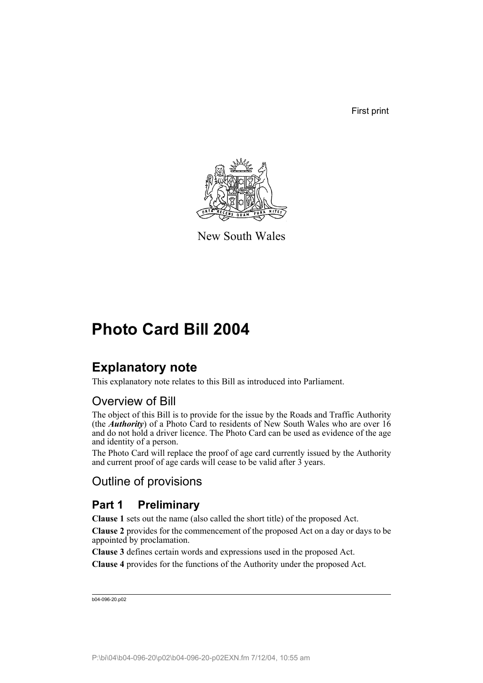First print



New South Wales

# **Photo Card Bill 2004**

# **Explanatory note**

This explanatory note relates to this Bill as introduced into Parliament.

# Overview of Bill

The object of this Bill is to provide for the issue by the Roads and Traffic Authority (the *Authority*) of a Photo Card to residents of New South Wales who are over 16 and do not hold a driver licence. The Photo Card can be used as evidence of the age and identity of a person.

The Photo Card will replace the proof of age card currently issued by the Authority and current proof of age cards will cease to be valid after 3 years.

# Outline of provisions

# **Part 1 Preliminary**

**Clause 1** sets out the name (also called the short title) of the proposed Act.

**Clause 2** provides for the commencement of the proposed Act on a day or days to be appointed by proclamation.

**Clause 3** defines certain words and expressions used in the proposed Act.

**Clause 4** provides for the functions of the Authority under the proposed Act.

```
b04-096-20.p02
```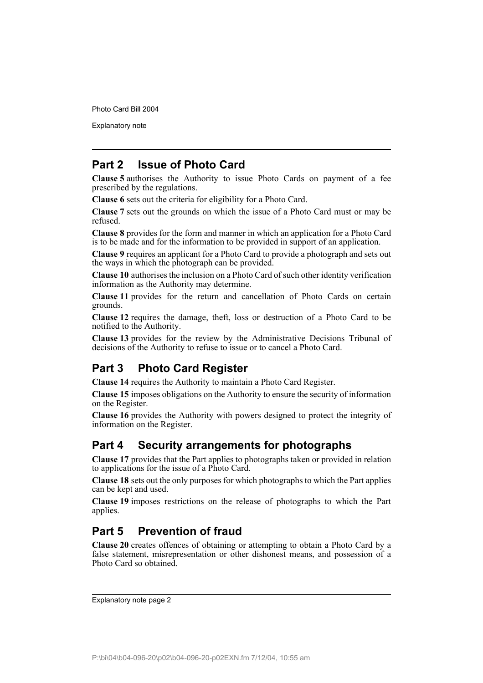Explanatory note

# **Part 2 Issue of Photo Card**

**Clause 5** authorises the Authority to issue Photo Cards on payment of a fee prescribed by the regulations.

**Clause 6** sets out the criteria for eligibility for a Photo Card.

**Clause 7** sets out the grounds on which the issue of a Photo Card must or may be refused.

**Clause 8** provides for the form and manner in which an application for a Photo Card is to be made and for the information to be provided in support of an application.

**Clause 9** requires an applicant for a Photo Card to provide a photograph and sets out the ways in which the photograph can be provided.

**Clause 10** authorises the inclusion on a Photo Card of such other identity verification information as the Authority may determine.

**Clause 11** provides for the return and cancellation of Photo Cards on certain grounds.

**Clause 12** requires the damage, theft, loss or destruction of a Photo Card to be notified to the Authority.

**Clause 13** provides for the review by the Administrative Decisions Tribunal of decisions of the Authority to refuse to issue or to cancel a Photo Card.

# **Part 3 Photo Card Register**

**Clause 14** requires the Authority to maintain a Photo Card Register.

**Clause 15** imposes obligations on the Authority to ensure the security of information on the Register.

**Clause 16** provides the Authority with powers designed to protect the integrity of information on the Register.

# **Part 4 Security arrangements for photographs**

**Clause 17** provides that the Part applies to photographs taken or provided in relation to applications for the issue of a Photo Card.

**Clause 18** sets out the only purposes for which photographs to which the Part applies can be kept and used.

**Clause 19** imposes restrictions on the release of photographs to which the Part applies.

# **Part 5 Prevention of fraud**

**Clause 20** creates offences of obtaining or attempting to obtain a Photo Card by a false statement, misrepresentation or other dishonest means, and possession of a Photo Card so obtained.

Explanatory note page 2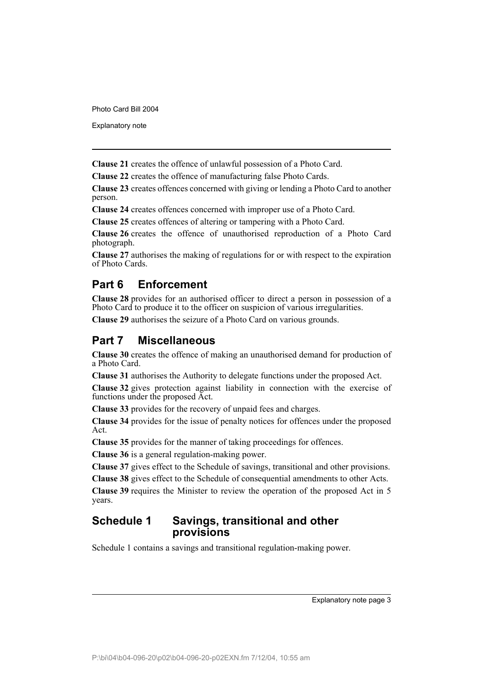Explanatory note

**Clause 21** creates the offence of unlawful possession of a Photo Card.

**Clause 22** creates the offence of manufacturing false Photo Cards.

**Clause 23** creates offences concerned with giving or lending a Photo Card to another person.

**Clause 24** creates offences concerned with improper use of a Photo Card.

**Clause 25** creates offences of altering or tampering with a Photo Card.

**Clause 26** creates the offence of unauthorised reproduction of a Photo Card photograph.

**Clause 27** authorises the making of regulations for or with respect to the expiration of Photo Cards.

# **Part 6 Enforcement**

**Clause 28** provides for an authorised officer to direct a person in possession of a Photo Card to produce it to the officer on suspicion of various irregularities.

**Clause 29** authorises the seizure of a Photo Card on various grounds.

# **Part 7 Miscellaneous**

**Clause 30** creates the offence of making an unauthorised demand for production of a Photo Card.

**Clause 31** authorises the Authority to delegate functions under the proposed Act.

**Clause 32** gives protection against liability in connection with the exercise of functions under the proposed Act.

**Clause 33** provides for the recovery of unpaid fees and charges.

**Clause 34** provides for the issue of penalty notices for offences under the proposed Act.

**Clause 35** provides for the manner of taking proceedings for offences.

**Clause 36** is a general regulation-making power.

**Clause 37** gives effect to the Schedule of savings, transitional and other provisions.

**Clause 38** gives effect to the Schedule of consequential amendments to other Acts.

**Clause 39** requires the Minister to review the operation of the proposed Act in 5 years.

# **Schedule 1 Savings, transitional and other provisions**

Schedule 1 contains a savings and transitional regulation-making power.

Explanatory note page 3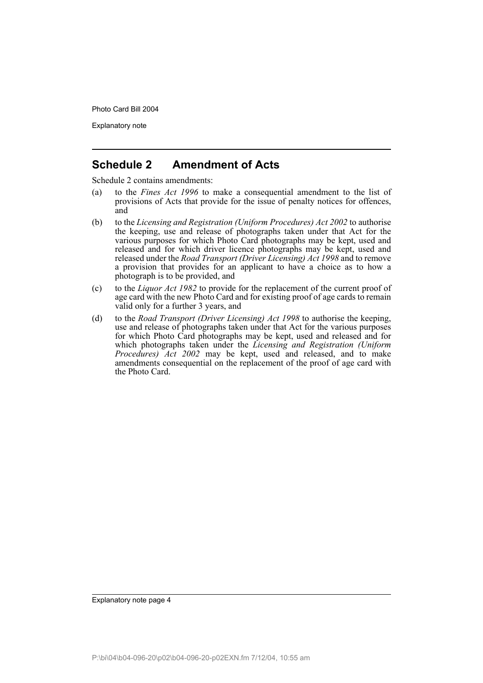Explanatory note

# **Schedule 2 Amendment of Acts**

Schedule 2 contains amendments:

- (a) to the *Fines Act 1996* to make a consequential amendment to the list of provisions of Acts that provide for the issue of penalty notices for offences, and
- (b) to the *Licensing and Registration (Uniform Procedures) Act 2002* to authorise the keeping, use and release of photographs taken under that Act for the various purposes for which Photo Card photographs may be kept, used and released and for which driver licence photographs may be kept, used and released under the *Road Transport (Driver Licensing) Act 1998* and to remove a provision that provides for an applicant to have a choice as to how a photograph is to be provided, and
- (c) to the *Liquor Act 1982* to provide for the replacement of the current proof of age card with the new Photo Card and for existing proof of age cards to remain valid only for a further 3 years, and
- (d) to the *Road Transport (Driver Licensing) Act 1998* to authorise the keeping, use and release of photographs taken under that Act for the various purposes for which Photo Card photographs may be kept, used and released and for which photographs taken under the *Licensing and Registration (Uniform Procedures) Act 2002* may be kept, used and released, and to make amendments consequential on the replacement of the proof of age card with the Photo Card.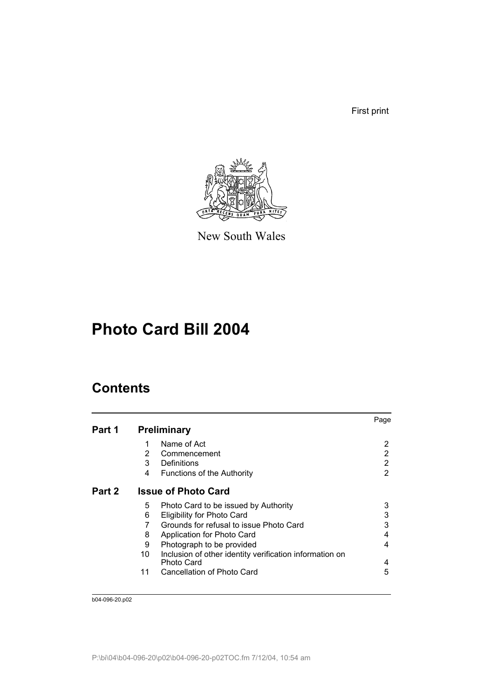First print



New South Wales

# **Photo Card Bill 2004**

# **Contents**

|        |    |                                                                       | Page |
|--------|----|-----------------------------------------------------------------------|------|
| Part 1 |    | <b>Preliminary</b>                                                    |      |
|        | 1  | Name of Act                                                           | 2    |
|        | 2  | Commencement                                                          | 2    |
|        | 3  | Definitions                                                           | 2    |
|        | 4  | <b>Functions of the Authority</b>                                     | 2    |
| Part 2 |    | <b>Issue of Photo Card</b>                                            |      |
|        | 5  | Photo Card to be issued by Authority                                  | 3    |
|        | 6  | <b>Eligibility for Photo Card</b>                                     | 3    |
|        |    | Grounds for refusal to issue Photo Card                               | 3    |
|        | 8  | Application for Photo Card                                            | 4    |
|        | 9  | Photograph to be provided                                             | 4    |
|        | 10 | Inclusion of other identity verification information on<br>Photo Card | 4    |
|        | 11 | Cancellation of Photo Card                                            | 5    |
|        |    |                                                                       |      |

b04-096-20.p02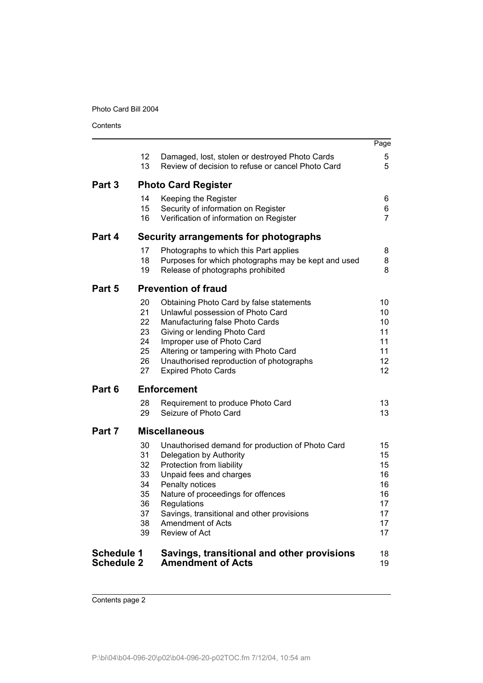**Contents** 

|                   |                 |                                                     | Page |
|-------------------|-----------------|-----------------------------------------------------|------|
|                   | 12 <sup>°</sup> | Damaged, lost, stolen or destroyed Photo Cards      | 5    |
|                   | 13              | Review of decision to refuse or cancel Photo Card   | 5    |
| Part 3            |                 | <b>Photo Card Register</b>                          |      |
|                   | 14              | Keeping the Register                                | 6    |
|                   | 15              | Security of information on Register                 | 6    |
|                   | 16              | Verification of information on Register             | 7    |
| Part 4            |                 | Security arrangements for photographs               |      |
|                   | 17              | Photographs to which this Part applies              | 8    |
|                   | 18              | Purposes for which photographs may be kept and used | 8    |
|                   | 19              | Release of photographs prohibited                   | 8    |
| Part 5            |                 | <b>Prevention of fraud</b>                          |      |
|                   | 20              | Obtaining Photo Card by false statements            | 10   |
|                   | 21              | Unlawful possession of Photo Card                   | 10   |
|                   | 22              | Manufacturing false Photo Cards                     | 10   |
|                   | 23              | Giving or lending Photo Card                        | 11   |
|                   | 24              | Improper use of Photo Card                          | 11   |
|                   | 25              | Altering or tampering with Photo Card               | 11   |
|                   | 26              | Unauthorised reproduction of photographs            | 12   |
|                   | 27              | <b>Expired Photo Cards</b>                          | 12   |
| Part 6            |                 | <b>Enforcement</b>                                  |      |
|                   | 28              | Requirement to produce Photo Card                   | 13   |
|                   | 29              | Seizure of Photo Card                               | 13   |
| Part 7            |                 | <b>Miscellaneous</b>                                |      |
|                   | 30              | Unauthorised demand for production of Photo Card    | 15   |
|                   | 31              | Delegation by Authority                             | 15   |
|                   | 32              | Protection from liability                           | 15   |
|                   | 33              | Unpaid fees and charges                             | 16   |
|                   | 34              | Penalty notices                                     | 16   |
|                   | 35              | Nature of proceedings for offences                  | 16   |
|                   | 36              | Regulations                                         | 17   |
|                   | 37              | Savings, transitional and other provisions          | 17   |
|                   | 38              | <b>Amendment of Acts</b>                            | 17   |
|                   | 39              | Review of Act                                       | 17   |
| <b>Schedule 1</b> |                 | Savings, transitional and other provisions          | 18   |
| <b>Schedule 2</b> |                 | <b>Amendment of Acts</b>                            | 19   |

Contents page 2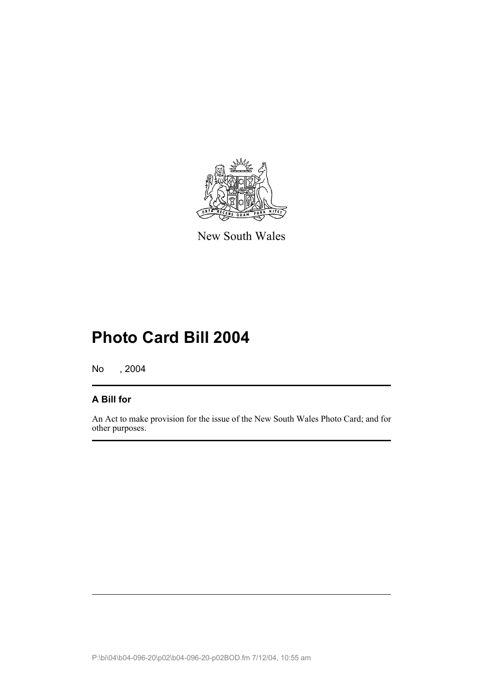

New South Wales

# **Photo Card Bill 2004**

No , 2004

# **A Bill for**

An Act to make provision for the issue of the New South Wales Photo Card; and for other purposes.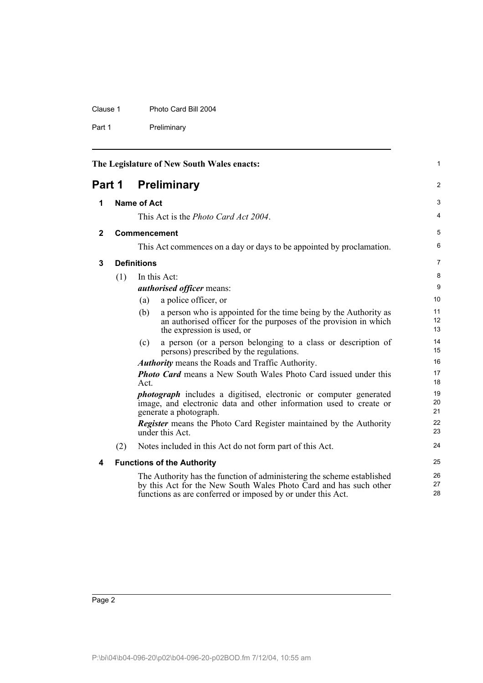Clause 1 Photo Card Bill 2004

Part 1 Preliminary

<span id="page-7-4"></span><span id="page-7-3"></span><span id="page-7-2"></span><span id="page-7-1"></span><span id="page-7-0"></span>

|              |        |                    | The Legislature of New South Wales enacts:                                                                                                                                                                 | $\mathbf{1}$   |
|--------------|--------|--------------------|------------------------------------------------------------------------------------------------------------------------------------------------------------------------------------------------------------|----------------|
|              | Part 1 |                    | <b>Preliminary</b>                                                                                                                                                                                         | $\overline{2}$ |
| 1            |        | <b>Name of Act</b> |                                                                                                                                                                                                            | 3              |
|              |        |                    | This Act is the <i>Photo Card Act 2004</i> .                                                                                                                                                               | $\overline{4}$ |
| $\mathbf{2}$ |        |                    | <b>Commencement</b>                                                                                                                                                                                        | 5              |
|              |        |                    | This Act commences on a day or days to be appointed by proclamation.                                                                                                                                       | 6              |
| 3            |        | <b>Definitions</b> |                                                                                                                                                                                                            | 7              |
|              | (1)    |                    | In this Act:<br><i>authorised officer means:</i>                                                                                                                                                           | 8<br>9         |
|              |        | (a)                | a police officer, or                                                                                                                                                                                       | 10             |
|              |        | (b)                | a person who is appointed for the time being by the Authority as<br>an authorised officer for the purposes of the provision in which<br>the expression is used, or                                         | 11<br>12<br>13 |
|              |        | (c)                | a person (or a person belonging to a class or description of<br>persons) prescribed by the regulations.                                                                                                    | 14<br>15       |
|              |        |                    | <b>Authority</b> means the Roads and Traffic Authority.                                                                                                                                                    | 16             |
|              |        | Act.               | <b>Photo Card</b> means a New South Wales Photo Card issued under this                                                                                                                                     | 17<br>18       |
|              |        |                    | <i>photograph</i> includes a digitised, electronic or computer generated<br>image, and electronic data and other information used to create or<br>generate a photograph.                                   | 19<br>20<br>21 |
|              |        |                    | <b>Register</b> means the Photo Card Register maintained by the Authority<br>under this Act.                                                                                                               | 22<br>23       |
|              | (2)    |                    | Notes included in this Act do not form part of this Act.                                                                                                                                                   | 24             |
| 4            |        |                    | <b>Functions of the Authority</b>                                                                                                                                                                          | 25             |
|              |        |                    | The Authority has the function of administering the scheme established<br>by this Act for the New South Wales Photo Card and has such other<br>functions as are conferred or imposed by or under this Act. | 26<br>27<br>28 |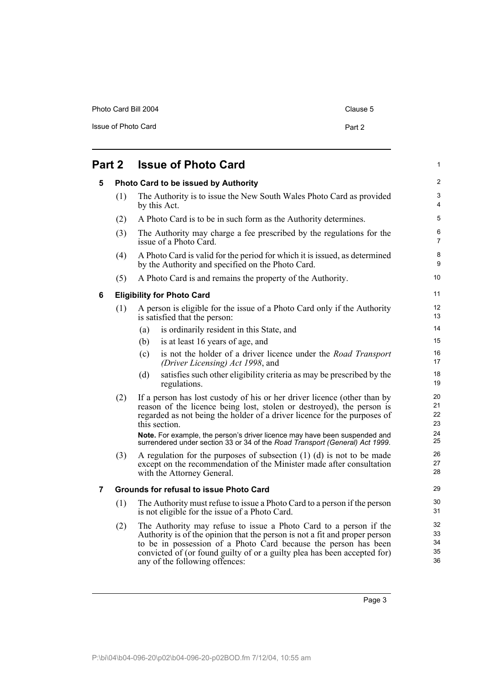| Photo Card Bill 2004 | Clause 5 |
|----------------------|----------|
| Issue of Photo Card  | Part 2   |

<span id="page-8-2"></span><span id="page-8-1"></span><span id="page-8-0"></span>

| Part 2 |     | <b>Issue of Photo Card</b>                                                                                                                                                                                                                                                                                                       | $\mathbf{1}$               |
|--------|-----|----------------------------------------------------------------------------------------------------------------------------------------------------------------------------------------------------------------------------------------------------------------------------------------------------------------------------------|----------------------------|
| 5      |     | Photo Card to be issued by Authority                                                                                                                                                                                                                                                                                             | $\overline{2}$             |
|        | (1) | The Authority is to issue the New South Wales Photo Card as provided<br>by this Act.                                                                                                                                                                                                                                             | 3<br>4                     |
|        | (2) | A Photo Card is to be in such form as the Authority determines.                                                                                                                                                                                                                                                                  | 5                          |
|        | (3) | The Authority may charge a fee prescribed by the regulations for the<br>issue of a Photo Card.                                                                                                                                                                                                                                   | 6<br>$\overline{7}$        |
|        | (4) | A Photo Card is valid for the period for which it is issued, as determined<br>by the Authority and specified on the Photo Card.                                                                                                                                                                                                  | 8<br>9                     |
|        | (5) | A Photo Card is and remains the property of the Authority.                                                                                                                                                                                                                                                                       | 10                         |
| 6      |     | <b>Eligibility for Photo Card</b>                                                                                                                                                                                                                                                                                                | 11                         |
|        | (1) | A person is eligible for the issue of a Photo Card only if the Authority<br>is satisfied that the person:                                                                                                                                                                                                                        | 12<br>13                   |
|        |     | is ordinarily resident in this State, and<br>(a)                                                                                                                                                                                                                                                                                 | 14                         |
|        |     | (b)<br>is at least 16 years of age, and                                                                                                                                                                                                                                                                                          | 15                         |
|        |     | is not the holder of a driver licence under the Road Transport<br>(c)<br>(Driver Licensing) Act 1998, and                                                                                                                                                                                                                        | 16<br>17                   |
|        |     | satisfies such other eligibility criteria as may be prescribed by the<br>(d)<br>regulations.                                                                                                                                                                                                                                     | 18<br>19                   |
|        | (2) | If a person has lost custody of his or her driver licence (other than by<br>reason of the licence being lost, stolen or destroyed), the person is<br>regarded as not being the holder of a driver licence for the purposes of<br>this section.                                                                                   | 20<br>21<br>22<br>23       |
|        |     | Note. For example, the person's driver licence may have been suspended and<br>surrendered under section 33 or 34 of the Road Transport (General) Act 1999.                                                                                                                                                                       | 24<br>25                   |
|        | (3) | A regulation for the purposes of subsection $(1)$ $(d)$ is not to be made<br>except on the recommendation of the Minister made after consultation<br>with the Attorney General.                                                                                                                                                  | 26<br>27<br>28             |
| 7      |     | <b>Grounds for refusal to issue Photo Card</b>                                                                                                                                                                                                                                                                                   | 29                         |
|        | (1) | The Authority must refuse to issue a Photo Card to a person if the person<br>is not eligible for the issue of a Photo Card.                                                                                                                                                                                                      | 30<br>31                   |
|        | (2) | The Authority may refuse to issue a Photo Card to a person if the<br>Authority is of the opinion that the person is not a fit and proper person<br>to be in possession of a Photo Card because the person has been<br>convicted of (or found guilty of or a guilty plea has been accepted for)<br>any of the following offences: | 32<br>33<br>34<br>35<br>36 |

Page 3

<span id="page-8-3"></span>any of the following offences: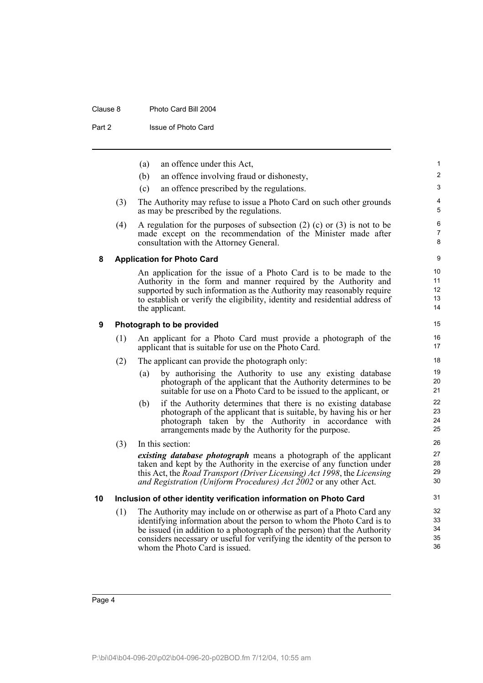#### Clause 8 Photo Card Bill 2004

Part 2 **Issue of Photo Card** 

<span id="page-9-2"></span><span id="page-9-1"></span><span id="page-9-0"></span>

|    |     | (a) | an offence under this Act,                                                                                                                                                                                                                                                                                                                | $\mathbf{1}$               |
|----|-----|-----|-------------------------------------------------------------------------------------------------------------------------------------------------------------------------------------------------------------------------------------------------------------------------------------------------------------------------------------------|----------------------------|
|    |     | (b) | an offence involving fraud or dishonesty,                                                                                                                                                                                                                                                                                                 | $\overline{c}$             |
|    |     | (c) | an offence prescribed by the regulations.                                                                                                                                                                                                                                                                                                 | 3                          |
|    | (3) |     | The Authority may refuse to issue a Photo Card on such other grounds<br>as may be prescribed by the regulations.                                                                                                                                                                                                                          | 4<br>5                     |
|    | (4) |     | A regulation for the purposes of subsection $(2)$ $(c)$ or $(3)$ is not to be<br>made except on the recommendation of the Minister made after<br>consultation with the Attorney General.                                                                                                                                                  | 6<br>7<br>8                |
| 8  |     |     | <b>Application for Photo Card</b>                                                                                                                                                                                                                                                                                                         | 9                          |
|    |     |     | An application for the issue of a Photo Card is to be made to the<br>Authority in the form and manner required by the Authority and<br>supported by such information as the Authority may reasonably require<br>to establish or verify the eligibility, identity and residential address of<br>the applicant.                             | 10<br>11<br>12<br>13<br>14 |
| 9  |     |     | Photograph to be provided                                                                                                                                                                                                                                                                                                                 | 15                         |
|    | (1) |     | An applicant for a Photo Card must provide a photograph of the<br>applicant that is suitable for use on the Photo Card.                                                                                                                                                                                                                   | 16<br>17                   |
|    | (2) |     | The applicant can provide the photograph only:                                                                                                                                                                                                                                                                                            | 18                         |
|    |     | (a) | by authorising the Authority to use any existing database<br>photograph of the applicant that the Authority determines to be<br>suitable for use on a Photo Card to be issued to the applicant, or                                                                                                                                        | 19<br>20<br>21             |
|    |     | (b) | if the Authority determines that there is no existing database<br>photograph of the applicant that is suitable, by having his or her<br>photograph taken by the Authority in accordance with<br>arrangements made by the Authority for the purpose.                                                                                       | 22<br>23<br>24<br>25       |
|    | (3) |     | In this section:                                                                                                                                                                                                                                                                                                                          | 26                         |
|    |     |     | existing database photograph means a photograph of the applicant<br>taken and kept by the Authority in the exercise of any function under<br>this Act, the Road Transport (Driver Licensing) Act 1998, the Licensing<br>and Registration (Uniform Procedures) Act 2002 or any other Act.                                                  | 27<br>28<br>29<br>30       |
| 10 |     |     | Inclusion of other identity verification information on Photo Card                                                                                                                                                                                                                                                                        | 31                         |
|    | (1) |     | The Authority may include on or otherwise as part of a Photo Card any<br>identifying information about the person to whom the Photo Card is to<br>be issued (in addition to a photograph of the person) that the Authority<br>considers necessary or useful for verifying the identity of the person to<br>whom the Photo Card is issued. | 32<br>33<br>34<br>35<br>36 |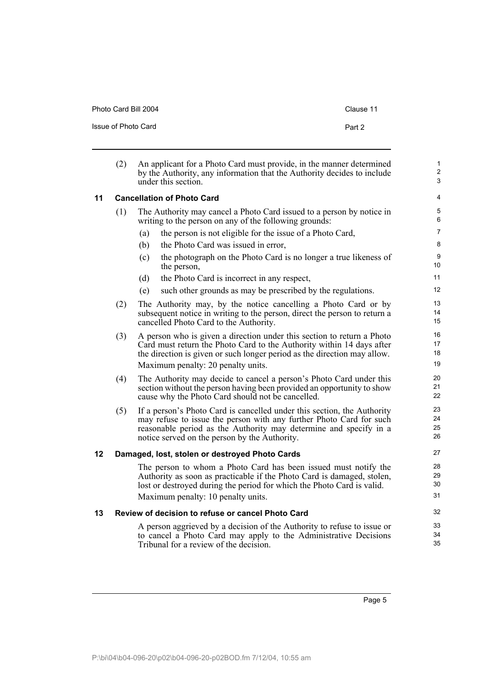<span id="page-10-0"></span>

|    | (2) | An applicant for a Photo Card must provide, in the manner determined<br>by the Authority, any information that the Authority decides to include<br>under this section                                                                                                |
|----|-----|----------------------------------------------------------------------------------------------------------------------------------------------------------------------------------------------------------------------------------------------------------------------|
| 11 |     | <b>Cancellation of Photo Card</b>                                                                                                                                                                                                                                    |
|    | (1) | The Authority may cancel a Photo Card issued to a person by notice in<br>writing to the person on any of the following grounds:                                                                                                                                      |
|    |     | the person is not eligible for the issue of a Photo Card,<br>(a)                                                                                                                                                                                                     |
|    |     | the Photo Card was issued in error,<br>(b)                                                                                                                                                                                                                           |
|    |     | (c)<br>the photograph on the Photo Card is no longer a true likeness of<br>the person,                                                                                                                                                                               |
|    |     | (d)<br>the Photo Card is incorrect in any respect,                                                                                                                                                                                                                   |
|    |     | such other grounds as may be prescribed by the regulations.<br>(e)                                                                                                                                                                                                   |
|    | (2) | The Authority may, by the notice cancelling a Photo Card or by<br>subsequent notice in writing to the person, direct the person to return a<br>cancelled Photo Card to the Authority.                                                                                |
|    | (3) | A person who is given a direction under this section to return a Photo<br>Card must return the Photo Card to the Authority within 14 days after<br>the direction is given or such longer period as the direction may allow.<br>Maximum penalty: 20 penalty units.    |
|    | (4) | The Authority may decide to cancel a person's Photo Card under this<br>section without the person having been provided an opportunity to show<br>cause why the Photo Card should not be cancelled.                                                                   |
|    | (5) | If a person's Photo Card is cancelled under this section, the Authority<br>may refuse to issue the person with any further Photo Card for such<br>reasonable period as the Authority may determine and specify in a<br>notice served on the person by the Authority. |
| 12 |     | Damaged, lost, stolen or destroyed Photo Cards                                                                                                                                                                                                                       |
|    |     | The person to whom a Photo Card has been issued must notify the<br>Authority as soon as practicable if the Photo Card is damaged, stolen,<br>lost or destroyed during the period for which the Photo Card is valid.                                                  |
|    |     | Maximum penalty: 10 penalty units.                                                                                                                                                                                                                                   |

Photo Card Bill 2004 Clause 11

Issue of Photo Card **Part 2** Part 2

#### <span id="page-10-2"></span><span id="page-10-1"></span>**13 Review of decision to refuse or cancel Photo Card**

A person aggrieved by a decision of the Authority to refuse to issue or to cancel a Photo Card may apply to the Administrative Decisions Tribunal for a review of the decision.

1 2 3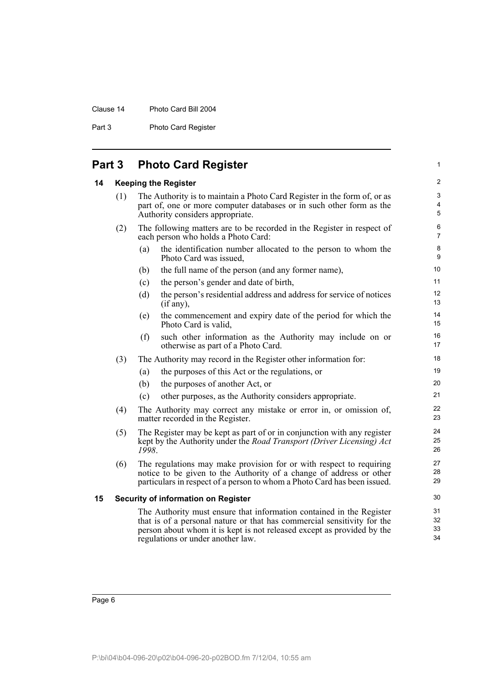#### Clause 14 Photo Card Bill 2004

Part 3 Photo Card Register

<span id="page-11-0"></span>

| Part 3 |  |  |  | <b>Photo Card Register</b> |
|--------|--|--|--|----------------------------|
|--------|--|--|--|----------------------------|

#### <span id="page-11-1"></span>**14 Keeping the Register**

| (1) | The Authority is to maintain a Photo Card Register in the form of, or as |
|-----|--------------------------------------------------------------------------|
|     | part of, one or more computer databases or in such other form as the     |
|     | Authority considers appropriate.                                         |

- (2) The following matters are to be recorded in the Register in respect of each person who holds a Photo Card:
	- (a) the identification number allocated to the person to whom the Photo Card was issued,

1

- (b) the full name of the person (and any former name),
- (c) the person's gender and date of birth,
- (d) the person's residential address and address for service of notices (if any),
- (e) the commencement and expiry date of the period for which the Photo Card is valid,
- (f) such other information as the Authority may include on or otherwise as part of a Photo Card.
- (3) The Authority may record in the Register other information for:
	- (a) the purposes of this Act or the regulations, or
	- (b) the purposes of another Act, or
	- (c) other purposes, as the Authority considers appropriate.
- (4) The Authority may correct any mistake or error in, or omission of, matter recorded in the Register.
- (5) The Register may be kept as part of or in conjunction with any register kept by the Authority under the *Road Transport (Driver Licensing) Act 1998*.
- (6) The regulations may make provision for or with respect to requiring notice to be given to the Authority of a change of address or other particulars in respect of a person to whom a Photo Card has been issued.

#### <span id="page-11-2"></span>**15 Security of information on Register**

The Authority must ensure that information contained in the Register that is of a personal nature or that has commercial sensitivity for the person about whom it is kept is not released except as provided by the regulations or under another law.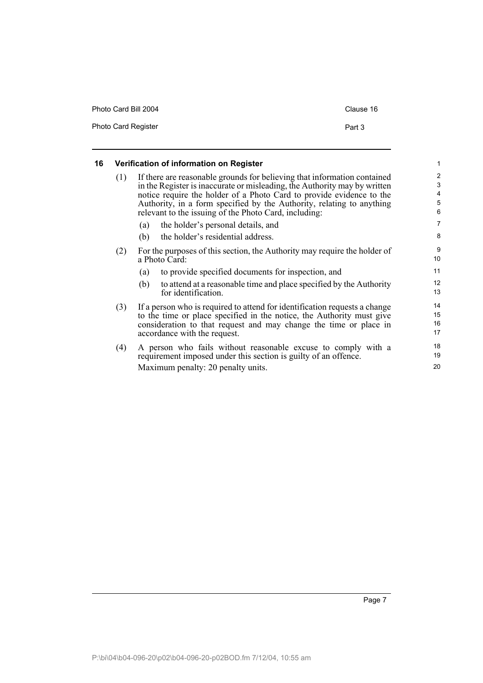| Photo Card Bill 2004       | Clause 16 |
|----------------------------|-----------|
| <b>Photo Card Register</b> | Part 3    |

### <span id="page-12-0"></span>**16 Verification of information on Register**

| (1) |     | If there are reasonable grounds for believing that information contained<br>in the Register is inaccurate or misleading, the Authority may by written<br>notice require the holder of a Photo Card to provide evidence to the<br>Authority, in a form specified by the Authority, relating to anything<br>relevant to the issuing of the Photo Card, including: | $\overline{2}$<br>3<br>4<br>5<br>6 |
|-----|-----|-----------------------------------------------------------------------------------------------------------------------------------------------------------------------------------------------------------------------------------------------------------------------------------------------------------------------------------------------------------------|------------------------------------|
|     | (a) | the holder's personal details, and                                                                                                                                                                                                                                                                                                                              | 7                                  |
|     | (b) | the holder's residential address.                                                                                                                                                                                                                                                                                                                               | 8                                  |
| (2) |     | For the purposes of this section, the Authority may require the holder of<br>a Photo Card:                                                                                                                                                                                                                                                                      | 9<br>10                            |
|     | (a) | to provide specified documents for inspection, and                                                                                                                                                                                                                                                                                                              | 11                                 |
|     | (b) | to attend at a reasonable time and place specified by the Authority<br>for identification.                                                                                                                                                                                                                                                                      | 12<br>13                           |
| (3) |     | If a person who is required to attend for identification requests a change<br>to the time or place specified in the notice, the Authority must give<br>consideration to that request and may change the time or place in<br>accordance with the request.                                                                                                        | 14<br>15<br>16<br>17               |
| (4) |     | A person who fails without reasonable excuse to comply with a<br>requirement imposed under this section is guilty of an offence.                                                                                                                                                                                                                                | 18<br>19                           |
|     |     |                                                                                                                                                                                                                                                                                                                                                                 |                                    |

1

20

Maximum penalty: 20 penalty units.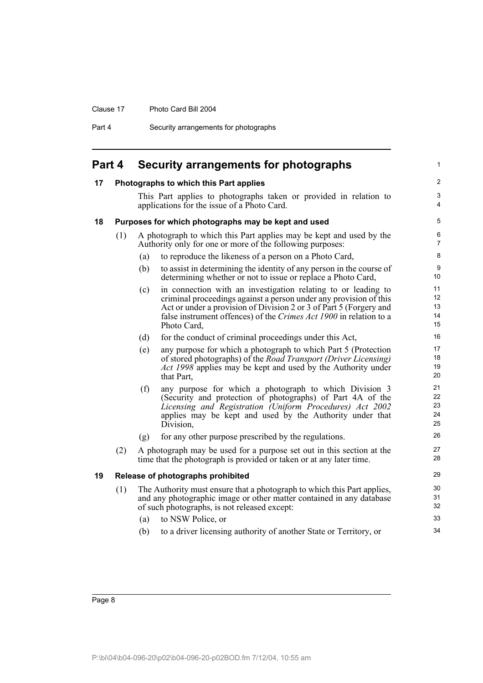#### Clause 17 Photo Card Bill 2004

Part 4 Security arrangements for photographs

<span id="page-13-3"></span><span id="page-13-2"></span><span id="page-13-1"></span><span id="page-13-0"></span>

| Part 4 |     |     | Security arrangements for photographs                                                                                                                                                                                                                                                         |                            |
|--------|-----|-----|-----------------------------------------------------------------------------------------------------------------------------------------------------------------------------------------------------------------------------------------------------------------------------------------------|----------------------------|
| 17     |     |     | Photographs to which this Part applies                                                                                                                                                                                                                                                        |                            |
|        |     |     | This Part applies to photographs taken or provided in relation to<br>applications for the issue of a Photo Card.                                                                                                                                                                              | 3<br>$\overline{4}$        |
| 18     |     |     | Purposes for which photographs may be kept and used                                                                                                                                                                                                                                           | 5                          |
|        | (1) |     | A photograph to which this Part applies may be kept and used by the<br>Authority only for one or more of the following purposes:                                                                                                                                                              | 6<br>$\overline{7}$        |
|        |     | (a) | to reproduce the likeness of a person on a Photo Card,                                                                                                                                                                                                                                        | 8                          |
|        |     | (b) | to assist in determining the identity of any person in the course of<br>determining whether or not to issue or replace a Photo Card,                                                                                                                                                          | $\boldsymbol{9}$<br>10     |
|        |     | (c) | in connection with an investigation relating to or leading to<br>criminal proceedings against a person under any provision of this<br>Act or under a provision of Division 2 or 3 of Part 5 (Forgery and<br>false instrument offences) of the Crimes Act 1900 in relation to a<br>Photo Card, | 11<br>12<br>13<br>14<br>15 |
|        |     | (d) | for the conduct of criminal proceedings under this Act,                                                                                                                                                                                                                                       | 16                         |
|        |     | (e) | any purpose for which a photograph to which Part 5 (Protection<br>of stored photographs) of the Road Transport (Driver Licensing)<br>Act 1998 applies may be kept and used by the Authority under<br>that Part,                                                                               | 17<br>18<br>19<br>20       |
|        |     | (f) | any purpose for which a photograph to which Division 3<br>(Security and protection of photographs) of Part 4A of the<br>Licensing and Registration (Uniform Procedures) Act 2002<br>applies may be kept and used by the Authority under that<br>Division,                                     | 21<br>22<br>23<br>24<br>25 |
|        |     | (g) | for any other purpose prescribed by the regulations.                                                                                                                                                                                                                                          | 26                         |
|        | (2) |     | A photograph may be used for a purpose set out in this section at the<br>time that the photograph is provided or taken or at any later time.                                                                                                                                                  | 27<br>28                   |
| 19     |     |     | Release of photographs prohibited                                                                                                                                                                                                                                                             | 29                         |
|        | (1) |     | The Authority must ensure that a photograph to which this Part applies,<br>and any photographic image or other matter contained in any database<br>of such photographs, is not released except:                                                                                               | 30<br>31<br>32             |
|        |     | (a) | to NSW Police, or                                                                                                                                                                                                                                                                             | 33                         |
|        |     | (b) | to a driver licensing authority of another State or Territory, or                                                                                                                                                                                                                             | 34                         |
|        |     |     |                                                                                                                                                                                                                                                                                               |                            |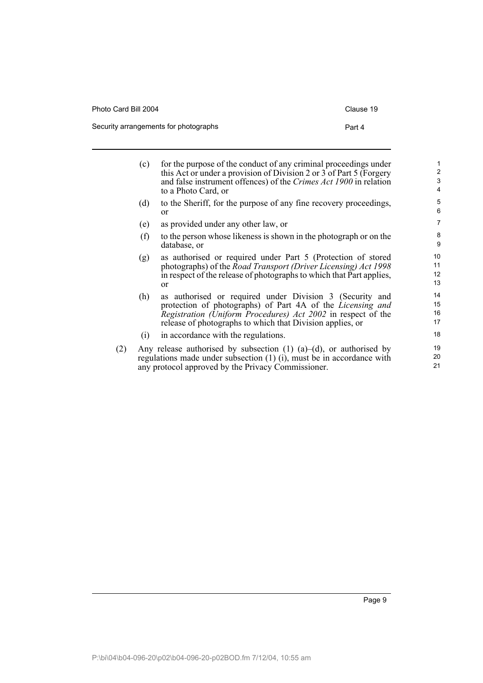Photo Card Bill 2004 Clause 19

Security arrangements for photographs **Part 4** 

(c) for the purpose of the conduct of any criminal proceedings under this Act or under a provision of Division 2 or  $3$  of Part 5 (Forgery and false instrument offences) of the *Crimes Act 1900* in relation to a Photo Card, or (d) to the Sheriff, for the purpose of any fine recovery proceedings, or (e) as provided under any other law, or (f) to the person whose likeness is shown in the photograph or on the database, or (g) as authorised or required under Part 5 (Protection of stored photographs) of the *Road Transport (Driver Licensing) Act 1998* in respect of the release of photographs to which that Part applies, or (h) as authorised or required under Division 3 (Security and protection of photographs) of Part 4A of the *Licensing and Registration (Uniform Procedures) Act 2002* in respect of the release of photographs to which that Division applies, or (i) in accordance with the regulations. (2) Any release authorised by subsection (1) (a)–(d), or authorised by regulations made under subsection (1) (i), must be in accordance with any protocol approved by the Privacy Commissioner. 1 2 3 4 5 6 7 8 9  $10$ 11 12 13 14 15 16 17 18 19 20 21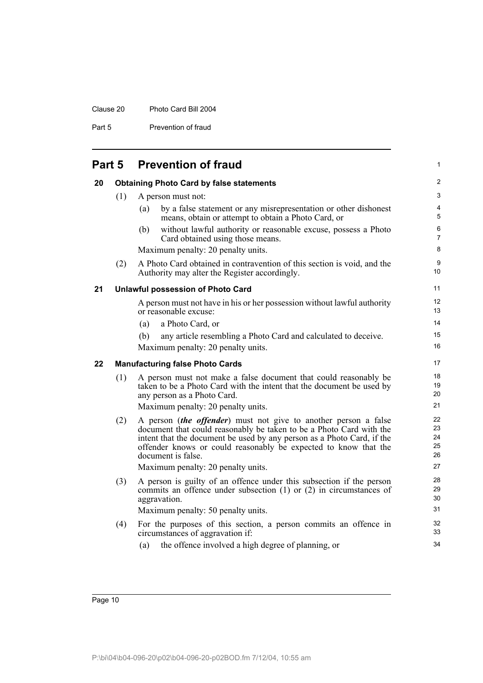#### Clause 20 Photo Card Bill 2004

Part 5 Prevention of fraud

<span id="page-15-2"></span><span id="page-15-1"></span><span id="page-15-0"></span>

|                                                       |     | <b>Part 5 Prevention of fraud</b>                                                                                                                                                                                                                                                                         |  |  |  |
|-------------------------------------------------------|-----|-----------------------------------------------------------------------------------------------------------------------------------------------------------------------------------------------------------------------------------------------------------------------------------------------------------|--|--|--|
| 20<br><b>Obtaining Photo Card by false statements</b> |     |                                                                                                                                                                                                                                                                                                           |  |  |  |
|                                                       | (1) | A person must not:                                                                                                                                                                                                                                                                                        |  |  |  |
|                                                       |     | by a false statement or any misrepresentation or other dishonest<br>(a)<br>means, obtain or attempt to obtain a Photo Card, or                                                                                                                                                                            |  |  |  |
|                                                       |     | without lawful authority or reasonable excuse, possess a Photo<br>(b)<br>Card obtained using those means.                                                                                                                                                                                                 |  |  |  |
|                                                       |     | Maximum penalty: 20 penalty units.                                                                                                                                                                                                                                                                        |  |  |  |
|                                                       | (2) | A Photo Card obtained in contravention of this section is void, and the<br>Authority may alter the Register accordingly.                                                                                                                                                                                  |  |  |  |
| 21<br>Unlawful possession of Photo Card               |     |                                                                                                                                                                                                                                                                                                           |  |  |  |
|                                                       |     | A person must not have in his or her possession without lawful authority<br>or reasonable excuse:                                                                                                                                                                                                         |  |  |  |
|                                                       |     | a Photo Card, or<br>(a)                                                                                                                                                                                                                                                                                   |  |  |  |
|                                                       |     | any article resembling a Photo Card and calculated to deceive.<br>(b)                                                                                                                                                                                                                                     |  |  |  |
|                                                       |     | Maximum penalty: 20 penalty units.                                                                                                                                                                                                                                                                        |  |  |  |
| 22                                                    |     | <b>Manufacturing false Photo Cards</b>                                                                                                                                                                                                                                                                    |  |  |  |
|                                                       | (1) | A person must not make a false document that could reasonably be<br>taken to be a Photo Card with the intent that the document be used by<br>any person as a Photo Card.                                                                                                                                  |  |  |  |
|                                                       |     | Maximum penalty: 20 penalty units.                                                                                                                                                                                                                                                                        |  |  |  |
|                                                       | (2) | A person (the offender) must not give to another person a false<br>document that could reasonably be taken to be a Photo Card with the<br>intent that the document be used by any person as a Photo Card, if the<br>offender knows or could reasonably be expected to know that the<br>document is false. |  |  |  |
|                                                       |     | Maximum penalty: 20 penalty units.                                                                                                                                                                                                                                                                        |  |  |  |
|                                                       | (3) | A person is guilty of an offence under this subsection if the person<br>commits an offence under subsection $(1)$ or $(2)$ in circumstances of<br>aggravation.                                                                                                                                            |  |  |  |
|                                                       |     | Maximum penalty: 50 penalty units.                                                                                                                                                                                                                                                                        |  |  |  |
|                                                       | (4) | For the purposes of this section, a person commits an offence in<br>circumstances of aggravation if:                                                                                                                                                                                                      |  |  |  |

1

<span id="page-15-3"></span>(a) the offence involved a high degree of planning, or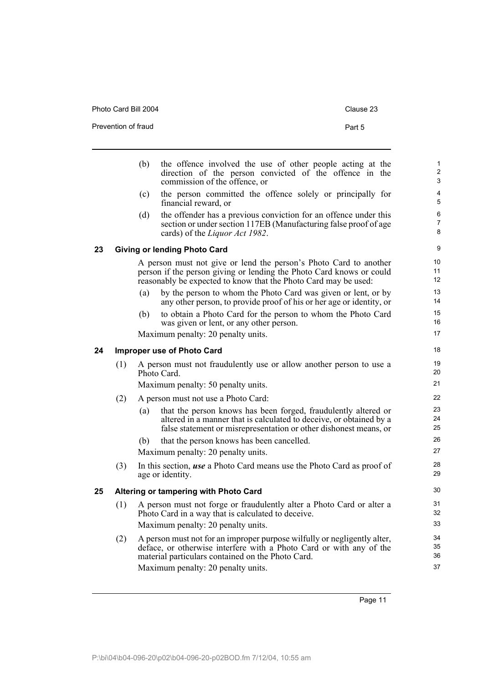<span id="page-16-2"></span><span id="page-16-1"></span><span id="page-16-0"></span>

|    |     | the offence involved the use of other people acting at the<br>(b)<br>direction of the person convicted of the offence in the<br>commission of the offence, or                                                     |  |  |
|----|-----|-------------------------------------------------------------------------------------------------------------------------------------------------------------------------------------------------------------------|--|--|
|    |     | the person committed the offence solely or principally for<br>(c)<br>financial reward, or                                                                                                                         |  |  |
|    |     | the offender has a previous conviction for an offence under this<br>(d)<br>section or under section 117EB (Manufacturing false proof of age<br>cards) of the <i>Liquor Act 1982</i> .                             |  |  |
| 23 |     | <b>Giving or lending Photo Card</b>                                                                                                                                                                               |  |  |
|    |     | A person must not give or lend the person's Photo Card to another<br>person if the person giving or lending the Photo Card knows or could<br>reasonably be expected to know that the Photo Card may be used:      |  |  |
|    |     | by the person to whom the Photo Card was given or lent, or by<br>(a)<br>any other person, to provide proof of his or her age or identity, or                                                                      |  |  |
|    |     | to obtain a Photo Card for the person to whom the Photo Card<br>(b)<br>was given or lent, or any other person.                                                                                                    |  |  |
|    |     | Maximum penalty: 20 penalty units.                                                                                                                                                                                |  |  |
| 24 |     | <b>Improper use of Photo Card</b>                                                                                                                                                                                 |  |  |
|    | (1) | A person must not fraudulently use or allow another person to use a<br>Photo Card.                                                                                                                                |  |  |
|    |     | Maximum penalty: 50 penalty units.                                                                                                                                                                                |  |  |
|    | (2) | A person must not use a Photo Card:                                                                                                                                                                               |  |  |
|    |     | that the person knows has been forged, fraudulently altered or<br>(a)<br>altered in a manner that is calculated to deceive, or obtained by a<br>false statement or misrepresentation or other dishonest means, or |  |  |
|    |     | that the person knows has been cancelled.<br>(b)<br>Maximum penalty: 20 penalty units.                                                                                                                            |  |  |
|    | (3) | In this section, use a Photo Card means use the Photo Card as proof of<br>age or identity.                                                                                                                        |  |  |
| 25 |     | Altering or tampering with Photo Card                                                                                                                                                                             |  |  |
|    | (1) | A person must not forge or fraudulently alter a Photo Card or alter a<br>Photo Card in a way that is calculated to deceive.                                                                                       |  |  |
|    |     | Maximum penalty: 20 penalty units.                                                                                                                                                                                |  |  |
|    | (2) | A person must not for an improper purpose wilfully or negligently alter,<br>deface, or otherwise interfere with a Photo Card or with any of the<br>material particulars contained on the Photo Card.              |  |  |
|    |     | Maximum penalty: 20 penalty units.                                                                                                                                                                                |  |  |

Photo Card Bill 2004 Clause 23

Prevention of fraud **Part 5** Part 5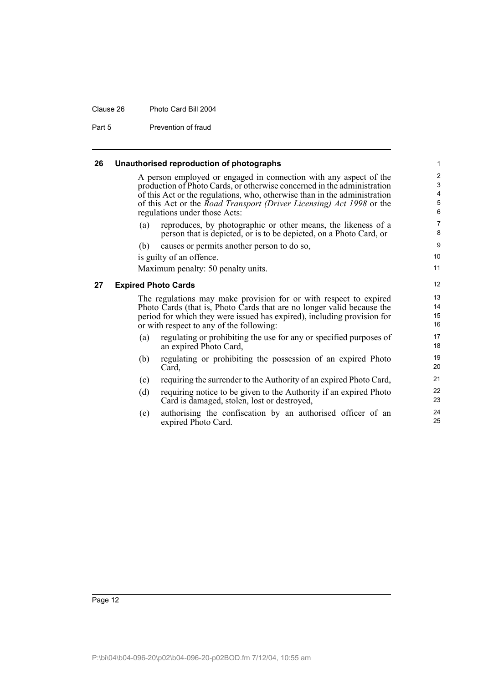#### Clause 26 Photo Card Bill 2004

Part 5 Prevention of fraud

<span id="page-17-0"></span>

| 26 | Unauthorised reproduction of photographs |  |
|----|------------------------------------------|--|
|----|------------------------------------------|--|

A person employed or engaged in connection with any aspect of the production of Photo Cards, or otherwise concerned in the administration of this Act or the regulations, who, otherwise than in the administration of this Act or the *Road Transport (Driver Licensing) Act 1998* or the regulations under those Acts:

(a) reproduces, by photographic or other means, the likeness of a person that is depicted, or is to be depicted, on a Photo Card, or

(b) causes or permits another person to do so,

is guilty of an offence.

Maximum penalty: 50 penalty units.

#### <span id="page-17-1"></span>**27 Expired Photo Cards**

The regulations may make provision for or with respect to expired Photo Cards (that is, Photo Cards that are no longer valid because the period for which they were issued has expired), including provision for or with respect to any of the following:

- (a) regulating or prohibiting the use for any or specified purposes of an expired Photo Card,
- (b) regulating or prohibiting the possession of an expired Photo Card,
- (c) requiring the surrender to the Authority of an expired Photo Card,
- (d) requiring notice to be given to the Authority if an expired Photo Card is damaged, stolen, lost or destroyed,
- (e) authorising the confiscation by an authorised officer of an expired Photo Card.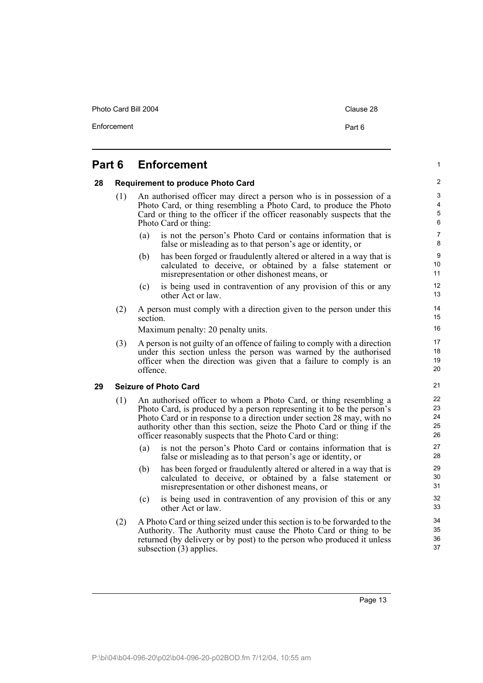Photo Card Bill 2004 Clause 28

1

# <span id="page-18-0"></span>**Part 6 Enforcement**

#### <span id="page-18-1"></span>**28 Requirement to produce Photo Card**

- (1) An authorised officer may direct a person who is in possession of a Photo Card, or thing resembling a Photo Card, to produce the Photo Card or thing to the officer if the officer reasonably suspects that the Photo Card or thing:
	- (a) is not the person's Photo Card or contains information that is false or misleading as to that person's age or identity, or
	- (b) has been forged or fraudulently altered or altered in a way that is calculated to deceive, or obtained by a false statement or misrepresentation or other dishonest means, or
	- (c) is being used in contravention of any provision of this or any other Act or law.
- (2) A person must comply with a direction given to the person under this section.

Maximum penalty: 20 penalty units.

(3) A person is not guilty of an offence of failing to comply with a direction under this section unless the person was warned by the authorised officer when the direction was given that a failure to comply is an offence.

### <span id="page-18-2"></span>**29 Seizure of Photo Card**

- (1) An authorised officer to whom a Photo Card, or thing resembling a Photo Card, is produced by a person representing it to be the person's Photo Card or in response to a direction under section 28 may, with no authority other than this section, seize the Photo Card or thing if the officer reasonably suspects that the Photo Card or thing:
	- (a) is not the person's Photo Card or contains information that is false or misleading as to that person's age or identity, or
	- (b) has been forged or fraudulently altered or altered in a way that is calculated to deceive, or obtained by a false statement or misrepresentation or other dishonest means, or
	- (c) is being used in contravention of any provision of this or any other Act or law.
- (2) A Photo Card or thing seized under this section is to be forwarded to the Authority. The Authority must cause the Photo Card or thing to be returned (by delivery or by post) to the person who produced it unless subsection (3) applies.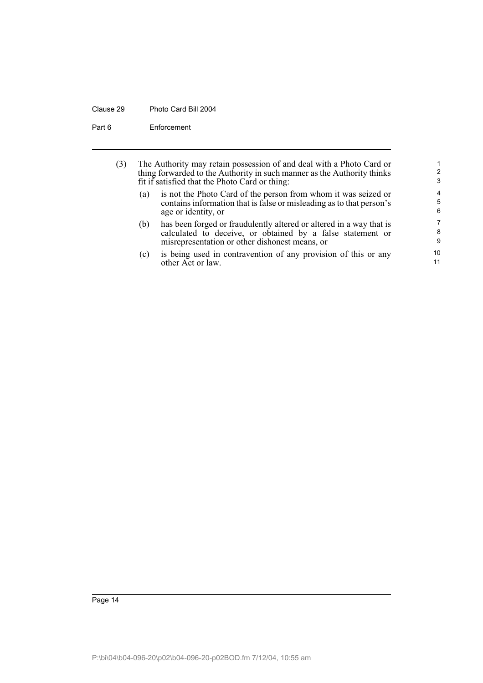#### Clause 29 Photo Card Bill 2004

Part 6 Enforcement

| (3) | The Authority may retain possession of and deal with a Photo Card or<br>thing forwarded to the Authority in such manner as the Authority thinks<br>fit if satisfied that the Photo Card or thing: |                                                                                                                                                                                     |             |  |  |
|-----|---------------------------------------------------------------------------------------------------------------------------------------------------------------------------------------------------|-------------------------------------------------------------------------------------------------------------------------------------------------------------------------------------|-------------|--|--|
|     | (a)                                                                                                                                                                                               | is not the Photo Card of the person from whom it was seized or<br>contains information that is false or misleading as to that person's<br>age or identity, or                       | 4<br>5<br>6 |  |  |
|     | (b)                                                                                                                                                                                               | has been forged or fraudulently altered or altered in a way that is<br>calculated to deceive, or obtained by a false statement or<br>misrepresentation or other dishonest means, or | 7<br>8<br>9 |  |  |
|     | (c)                                                                                                                                                                                               | is being used in contravention of any provision of this or any<br>other Act or law.                                                                                                 | 10<br>11    |  |  |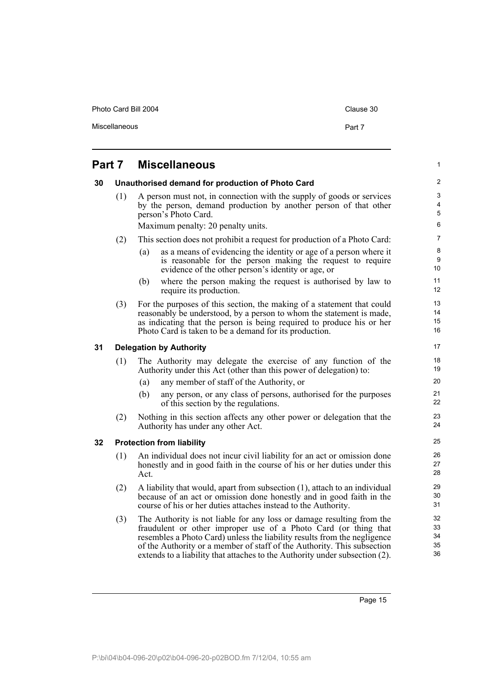Photo Card Bill 2004 Clause 30

1

# <span id="page-20-0"></span>**Part 7 Miscellaneous**

<span id="page-20-3"></span><span id="page-20-2"></span><span id="page-20-1"></span>

| 30 |     | Unauthorised demand for production of Photo Card                                                                                                                                                                                                                                                                                                                               | $\overline{2}$                                   |  |  |
|----|-----|--------------------------------------------------------------------------------------------------------------------------------------------------------------------------------------------------------------------------------------------------------------------------------------------------------------------------------------------------------------------------------|--------------------------------------------------|--|--|
|    | (1) | A person must not, in connection with the supply of goods or services<br>by the person, demand production by another person of that other<br>person's Photo Card.                                                                                                                                                                                                              | $\mathsf 3$<br>$\overline{4}$<br>$5\phantom{.0}$ |  |  |
|    |     | Maximum penalty: 20 penalty units.                                                                                                                                                                                                                                                                                                                                             | 6                                                |  |  |
|    | (2) | This section does not prohibit a request for production of a Photo Card:                                                                                                                                                                                                                                                                                                       | $\overline{7}$                                   |  |  |
|    |     | as a means of evidencing the identity or age of a person where it<br>(a)<br>is reasonable for the person making the request to require<br>evidence of the other person's identity or age, or                                                                                                                                                                                   | 8<br>9<br>10 <sup>°</sup>                        |  |  |
|    |     | where the person making the request is authorised by law to<br>(b)<br>require its production.                                                                                                                                                                                                                                                                                  | 11<br>12 <sup>°</sup>                            |  |  |
|    | (3) | For the purposes of this section, the making of a statement that could<br>reasonably be understood, by a person to whom the statement is made,<br>as indicating that the person is being required to produce his or her<br>Photo Card is taken to be a demand for its production.                                                                                              | 13<br>14<br>15<br>16                             |  |  |
| 31 |     | <b>Delegation by Authority</b>                                                                                                                                                                                                                                                                                                                                                 | 17                                               |  |  |
|    | (1) | The Authority may delegate the exercise of any function of the<br>Authority under this Act (other than this power of delegation) to:                                                                                                                                                                                                                                           | 18<br>19                                         |  |  |
|    |     | any member of staff of the Authority, or<br>(a)                                                                                                                                                                                                                                                                                                                                | 20                                               |  |  |
|    |     | any person, or any class of persons, authorised for the purposes<br>(b)<br>of this section by the regulations.                                                                                                                                                                                                                                                                 | 21<br>22                                         |  |  |
|    | (2) | Nothing in this section affects any other power or delegation that the<br>Authority has under any other Act.                                                                                                                                                                                                                                                                   | 23<br>24                                         |  |  |
| 32 |     | <b>Protection from liability</b>                                                                                                                                                                                                                                                                                                                                               | 25                                               |  |  |
|    | (1) | An individual does not incur civil liability for an act or omission done<br>honestly and in good faith in the course of his or her duties under this<br>Act.                                                                                                                                                                                                                   | 26<br>27<br>28                                   |  |  |
|    | (2) | A liability that would, apart from subsection (1), attach to an individual<br>because of an act or omission done honestly and in good faith in the<br>course of his or her duties attaches instead to the Authority.                                                                                                                                                           |                                                  |  |  |
|    | (3) | The Authority is not liable for any loss or damage resulting from the<br>fraudulent or other improper use of a Photo Card (or thing that<br>resembles a Photo Card) unless the liability results from the negligence<br>of the Authority or a member of staff of the Authority. This subsection<br>extends to a liability that attaches to the Authority under subsection (2). | 32<br>33<br>34<br>35<br>36                       |  |  |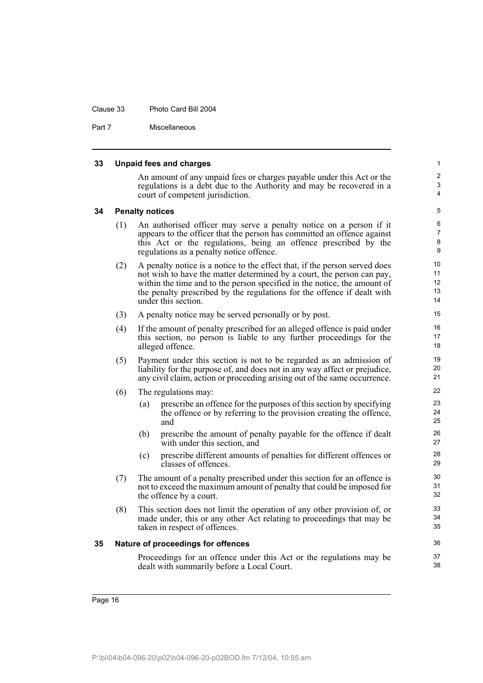#### Clause 33 Photo Card Bill 2004

Part 7 Miscellaneous

#### <span id="page-21-2"></span><span id="page-21-1"></span><span id="page-21-0"></span>**33 Unpaid fees and charges** An amount of any unpaid fees or charges payable under this Act or the regulations is a debt due to the Authority and may be recovered in a court of competent jurisdiction. **34 Penalty notices** (1) An authorised officer may serve a penalty notice on a person if it appears to the officer that the person has committed an offence against this Act or the regulations, being an offence prescribed by the regulations as a penalty notice offence. (2) A penalty notice is a notice to the effect that, if the person served does not wish to have the matter determined by a court, the person can pay, within the time and to the person specified in the notice, the amount of the penalty prescribed by the regulations for the offence if dealt with under this section. (3) A penalty notice may be served personally or by post. (4) If the amount of penalty prescribed for an alleged offence is paid under this section, no person is liable to any further proceedings for the alleged offence. (5) Payment under this section is not to be regarded as an admission of liability for the purpose of, and does not in any way affect or prejudice, any civil claim, action or proceeding arising out of the same occurrence. (6) The regulations may: (a) prescribe an offence for the purposes of this section by specifying the offence or by referring to the provision creating the offence, and (b) prescribe the amount of penalty payable for the offence if dealt with under this section, and (c) prescribe different amounts of penalties for different offences or classes of offences. (7) The amount of a penalty prescribed under this section for an offence is not to exceed the maximum amount of penalty that could be imposed for the offence by a court. (8) This section does not limit the operation of any other provision of, or made under, this or any other Act relating to proceedings that may be taken in respect of offences. **35 Nature of proceedings for offences** Proceedings for an offence under this Act or the regulations may be dealt with summarily before a Local Court. 1  $\overline{2}$ 3 4 5 6 7 8 9 10 11 12 13 14 15 16 17 18 19  $20$ 21 22 23 24 25 26 27 28 29 30 31 32 33 34 35 36 37 38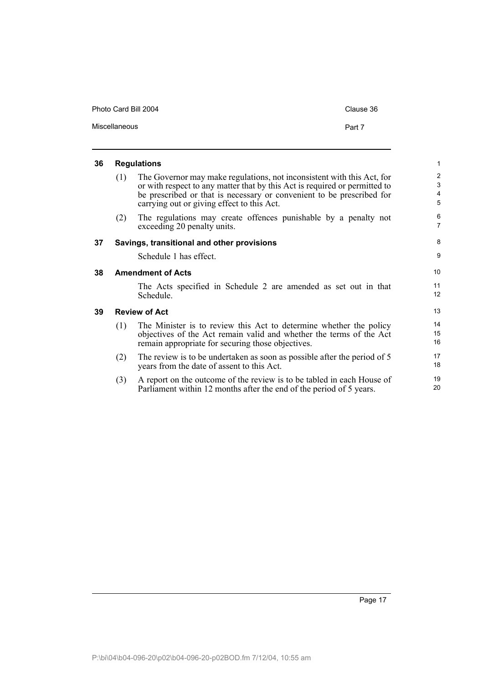| Photo Card Bill 2004 | Clause 36 |
|----------------------|-----------|
| Miscellaneous        | Part 7    |

<span id="page-22-3"></span><span id="page-22-2"></span><span id="page-22-1"></span><span id="page-22-0"></span>

| 36 | <b>Regulations</b>       |                                                                                                                                                                                                                                                                             |                                            |  |  |
|----|--------------------------|-----------------------------------------------------------------------------------------------------------------------------------------------------------------------------------------------------------------------------------------------------------------------------|--------------------------------------------|--|--|
|    | (1)                      | The Governor may make regulations, not inconsistent with this Act, for<br>or with respect to any matter that by this Act is required or permitted to<br>be prescribed or that is necessary or convenient to be prescribed for<br>carrying out or giving effect to this Act. | $\overline{2}$<br>3<br>$\overline{4}$<br>5 |  |  |
|    | (2)                      | The regulations may create offences punishable by a penalty not<br>exceeding 20 penalty units.                                                                                                                                                                              | 6<br>$\overline{7}$                        |  |  |
| 37 |                          | Savings, transitional and other provisions                                                                                                                                                                                                                                  | 8                                          |  |  |
|    |                          | Schedule 1 has effect.                                                                                                                                                                                                                                                      | 9                                          |  |  |
| 38 | <b>Amendment of Acts</b> |                                                                                                                                                                                                                                                                             |                                            |  |  |
|    |                          | The Acts specified in Schedule 2 are amended as set out in that<br>Schedule.                                                                                                                                                                                                | 11<br>12                                   |  |  |
| 39 |                          | <b>Review of Act</b>                                                                                                                                                                                                                                                        | 13                                         |  |  |
|    | (1)                      | The Minister is to review this Act to determine whether the policy<br>objectives of the Act remain valid and whether the terms of the Act<br>remain appropriate for securing those objectives.                                                                              | 14<br>15<br>16                             |  |  |
|    | (2)                      | The review is to be undertaken as soon as possible after the period of 5<br>years from the date of assent to this Act.                                                                                                                                                      | 17<br>18                                   |  |  |
|    | (3)                      | A report on the outcome of the review is to be tabled in each House of<br>Parliament within 12 months after the end of the period of 5 years.                                                                                                                               | 19<br>20                                   |  |  |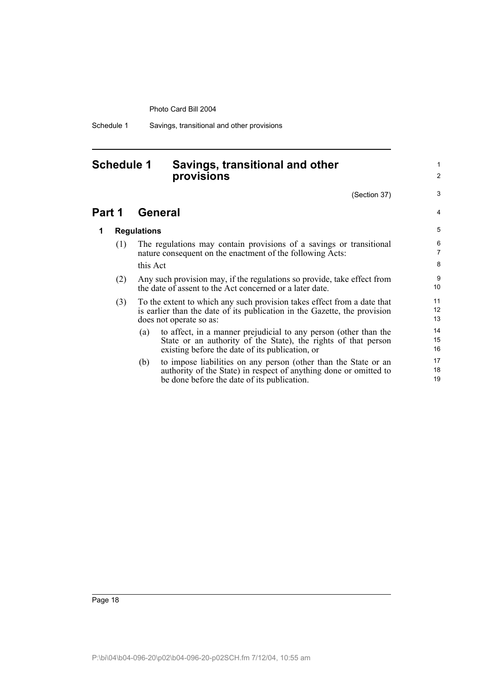Schedule 1 Savings, transitional and other provisions

# <span id="page-23-0"></span>**Schedule 1 Savings, transitional and other provisions**

(Section 37)

1  $\overline{2}$ 

3

4

### **Part 1 General**

### **1 Regulations**

- (1) The regulations may contain provisions of a savings or transitional nature consequent on the enactment of the following Acts: this Act
- (2) Any such provision may, if the regulations so provide, take effect from the date of assent to the Act concerned or a later date.
- (3) To the extent to which any such provision takes effect from a date that is earlier than the date of its publication in the Gazette, the provision does not operate so as:
	- (a) to affect, in a manner prejudicial to any person (other than the State or an authority of the State), the rights of that person existing before the date of its publication, or
	- (b) to impose liabilities on any person (other than the State or an authority of the State) in respect of anything done or omitted to be done before the date of its publication.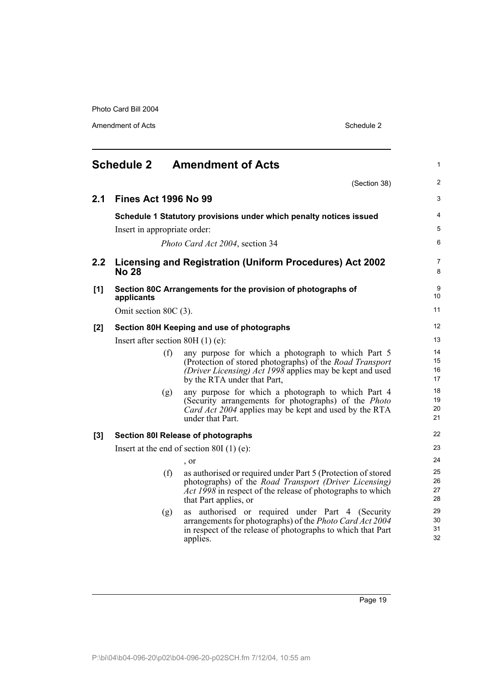Amendment of Acts Schedule 2

<span id="page-24-0"></span>

|       |                                    |     | <b>Schedule 2 Amendment of Acts</b>                                                                                                                                                                                 | $\mathbf{1}$         |
|-------|------------------------------------|-----|---------------------------------------------------------------------------------------------------------------------------------------------------------------------------------------------------------------------|----------------------|
|       |                                    |     | (Section 38)                                                                                                                                                                                                        | $\overline{2}$       |
| 2.1   | <b>Fines Act 1996 No 99</b>        |     |                                                                                                                                                                                                                     | 3                    |
|       |                                    |     | Schedule 1 Statutory provisions under which penalty notices issued                                                                                                                                                  | $\overline{4}$       |
|       | Insert in appropriate order:       |     |                                                                                                                                                                                                                     | 5                    |
|       |                                    |     | Photo Card Act 2004, section 34                                                                                                                                                                                     | 6                    |
| 2.2   | <b>No 28</b>                       |     | Licensing and Registration (Uniform Procedures) Act 2002                                                                                                                                                            | 7<br>8               |
| [1]   | applicants                         |     | Section 80C Arrangements for the provision of photographs of                                                                                                                                                        | 9<br>10              |
|       | Omit section 80C (3).              |     |                                                                                                                                                                                                                     | 11                   |
| $[2]$ |                                    |     | Section 80H Keeping and use of photographs                                                                                                                                                                          | 12                   |
|       | Insert after section $80H(1)$ (e): |     |                                                                                                                                                                                                                     | 13                   |
|       |                                    | (f) | any purpose for which a photograph to which Part 5<br>(Protection of stored photographs) of the <i>Road Transport</i><br>(Driver Licensing) Act 1998 applies may be kept and used<br>by the RTA under that Part,    | 14<br>15<br>16<br>17 |
|       |                                    | (g) | any purpose for which a photograph to which Part 4<br>(Security arrangements for photographs) of the <i>Photo</i><br>Card Act 2004 applies may be kept and used by the RTA<br>under that Part.                      | 18<br>19<br>20<br>21 |
| [3]   |                                    |     | <b>Section 80I Release of photographs</b>                                                                                                                                                                           | 22                   |
|       |                                    |     | Insert at the end of section 80I $(1)$ (e):                                                                                                                                                                         | 23                   |
|       |                                    |     | $\cdot$ or                                                                                                                                                                                                          | 24                   |
|       |                                    | (f) | as authorised or required under Part 5 (Protection of stored<br>photographs) of the <i>Road Transport</i> (Driver Licensing)<br>Act 1998 in respect of the release of photographs to which<br>that Part applies, or | 25<br>26<br>27<br>28 |
|       |                                    | (g) | authorised or required under Part 4 (Security<br>as<br>arrangements for photographs) of the Photo Card Act 2004<br>in respect of the release of photographs to which that Part<br>applies.                          | 29<br>30<br>31<br>32 |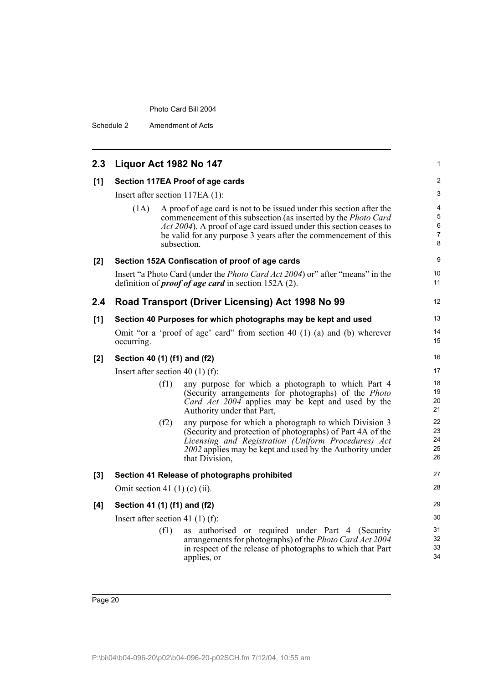Schedule 2 Amendment of Acts

| 2.3 | Liquor Act 1982 No 147                                                                                                                                                                                                                                                                                 | 1                                  |
|-----|--------------------------------------------------------------------------------------------------------------------------------------------------------------------------------------------------------------------------------------------------------------------------------------------------------|------------------------------------|
| [1] | Section 117EA Proof of age cards                                                                                                                                                                                                                                                                       | $\overline{c}$                     |
|     | Insert after section 117EA (1):                                                                                                                                                                                                                                                                        | 3                                  |
|     | A proof of age card is not to be issued under this section after the<br>(1A)<br>commencement of this subsection (as inserted by the Photo Card<br>Act 2004). A proof of age card issued under this section ceases to<br>be valid for any purpose 3 years after the commencement of this<br>subsection. | 4<br>5<br>6<br>$\overline{7}$<br>8 |
| [2] | Section 152A Confiscation of proof of age cards                                                                                                                                                                                                                                                        | 9                                  |
|     | Insert "a Photo Card (under the <i>Photo Card Act 2004</i> ) or" after "means" in the<br>definition of <i>proof of age card</i> in section $152A(2)$ .                                                                                                                                                 | 10<br>11                           |
| 2.4 | Road Transport (Driver Licensing) Act 1998 No 99                                                                                                                                                                                                                                                       | 12                                 |
| [1] | Section 40 Purposes for which photographs may be kept and used                                                                                                                                                                                                                                         | 13                                 |
|     | Omit "or a 'proof of age' card" from section 40 $(1)$ (a) and (b) wherever<br>occurring.                                                                                                                                                                                                               | 14<br>15                           |
| [2] | Section 40 (1) (f1) and (f2)                                                                                                                                                                                                                                                                           | 16                                 |
|     | Insert after section 40 (1) (f):                                                                                                                                                                                                                                                                       | 17                                 |
|     | any purpose for which a photograph to which Part 4<br>(f1)<br>(Security arrangements for photographs) of the Photo<br>Card Act 2004 applies may be kept and used by the<br>Authority under that Part,                                                                                                  | 18<br>19<br>20<br>21               |
|     | any purpose for which a photograph to which Division 3<br>(f2)<br>(Security and protection of photographs) of Part 4A of the<br>Licensing and Registration (Uniform Procedures) Act<br>2002 applies may be kept and used by the Authority under<br>that Division,                                      | 22<br>23<br>24<br>25<br>26         |
| [3] | Section 41 Release of photographs prohibited                                                                                                                                                                                                                                                           | 27                                 |
|     | Omit section 41 $(1)$ (c) $(ii)$ .                                                                                                                                                                                                                                                                     | 28                                 |
| [4] | Section 41 (1) (f1) and (f2)                                                                                                                                                                                                                                                                           | 29                                 |
|     | Insert after section 41 (1) (f):                                                                                                                                                                                                                                                                       | 30                                 |
|     | (f1)<br>as authorised or required under Part 4 (Security<br>arrangements for photographs) of the Photo Card Act 2004<br>in respect of the release of photographs to which that Part<br>applies, or                                                                                                     | 31<br>32<br>33<br>34               |